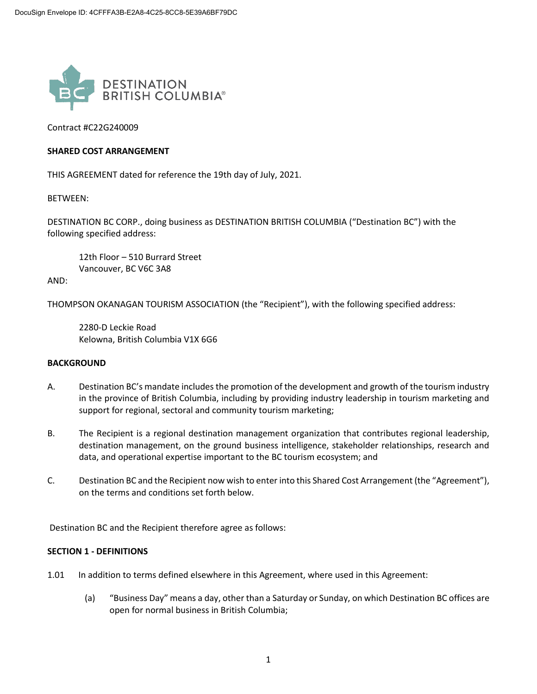

Contract #C22G240009

#### **SHARED COST ARRANGEMENT**

THIS AGREEMENT dated for reference the 19th day of July, 2021.

BETWEEN:

DESTINATION BC CORP., doing business as DESTINATION BRITISH COLUMBIA ("Destination BC") with the following specified address:

12th Floor – 510 Burrard Street Vancouver, BC V6C 3A8

AND:

THOMPSON OKANAGAN TOURISM ASSOCIATION (the "Recipient"), with the following specified address:

2280-D Leckie Road Kelowna, British Columbia V1X 6G6

#### **BACKGROUND**

- A. Destination BC's mandate includes the promotion of the development and growth of the tourism industry in the province of British Columbia, including by providing industry leadership in tourism marketing and support for regional, sectoral and community tourism marketing;
- B. The Recipient is a regional destination management organization that contributes regional leadership, destination management, on the ground business intelligence, stakeholder relationships, research and data, and operational expertise important to the BC tourism ecosystem; and
- C. Destination BC and the Recipient now wish to enter into this Shared Cost Arrangement (the "Agreement"), on the terms and conditions set forth below.

Destination BC and the Recipient therefore agree as follows:

#### **SECTION 1 - DEFINITIONS**

- 1.01 In addition to terms defined elsewhere in this Agreement, where used in this Agreement:
	- (a) "Business Day" means a day, other than a Saturday or Sunday, on which Destination BC offices are open for normal business in British Columbia;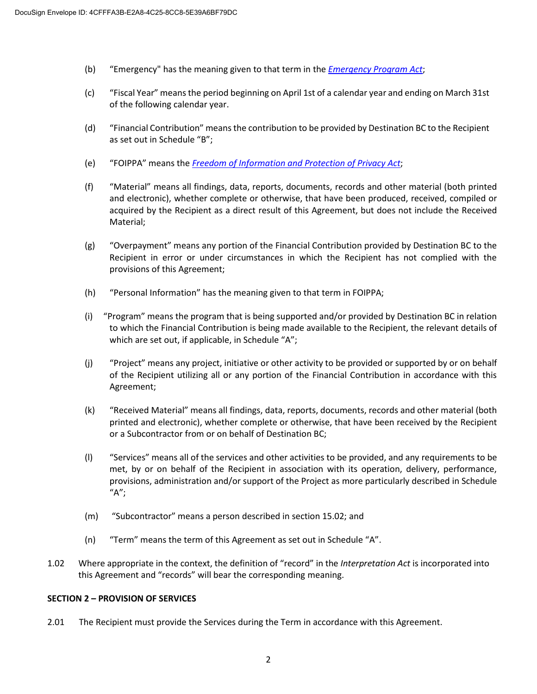- (b) "Emergency" has the meaning given to that term in the *[Emergency Program Act](https://www.bclaws.gov.bc.ca/civix/document/id/complete/statreg/00_96111_01)*;
- (c) "Fiscal Year" means the period beginning on April 1st of a calendar year and ending on March 31st of the following calendar year.
- (d) "Financial Contribution" meansthe contribution to be provided by Destination BC to the Recipient as set out in Schedule "B";
- (e) "FOIPPA" means the *[Freedom of Information and Protection of Privacy Act](https://www.bclaws.gov.bc.ca/civix/document/id/complete/statreg/96165_00)*;
- (f) "Material" means all findings, data, reports, documents, records and other material (both printed and electronic), whether complete or otherwise, that have been produced, received, compiled or acquired by the Recipient as a direct result of this Agreement, but does not include the Received Material;
- (g) "Overpayment" means any portion of the Financial Contribution provided by Destination BC to the Recipient in error or under circumstances in which the Recipient has not complied with the provisions of this Agreement;
- (h) "Personal Information" has the meaning given to that term in FOIPPA;
- (i) "Program" means the program that is being supported and/or provided by Destination BC in relation to which the Financial Contribution is being made available to the Recipient, the relevant details of which are set out, if applicable, in Schedule "A";
- (j) "Project" means any project, initiative or other activity to be provided or supported by or on behalf of the Recipient utilizing all or any portion of the Financial Contribution in accordance with this Agreement;
- (k) "Received Material" means all findings, data, reports, documents, records and other material (both printed and electronic), whether complete or otherwise, that have been received by the Recipient or a Subcontractor from or on behalf of Destination BC;
- (l) "Services" means all of the services and other activities to be provided, and any requirements to be met, by or on behalf of the Recipient in association with its operation, delivery, performance, provisions, administration and/or support of the Project as more particularly described in Schedule "A";
- (m) "Subcontractor" means a person described in section 15.02; and
- (n) "Term" means the term of this Agreement as set out in Schedule "A".
- 1.02 Where appropriate in the context, the definition of "record" in the *Interpretation Act* is incorporated into this Agreement and "records" will bear the corresponding meaning.

#### **SECTION 2 – PROVISION OF SERVICES**

2.01 The Recipient must provide the Services during the Term in accordance with this Agreement.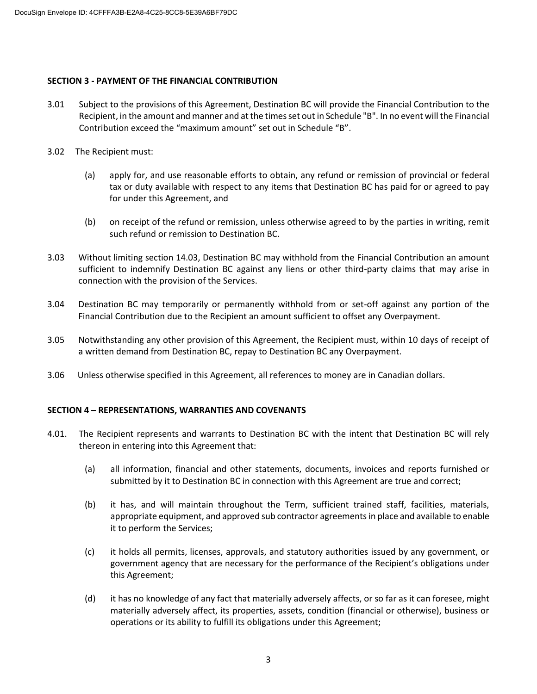#### **SECTION 3 - PAYMENT OF THE FINANCIAL CONTRIBUTION**

- 3.01 Subject to the provisions of this Agreement, Destination BC will provide the Financial Contribution to the Recipient, in the amount and manner and at the times set out in Schedule "B". In no event will the Financial Contribution exceed the "maximum amount" set out in Schedule "B".
- 3.02 The Recipient must:
	- (a) apply for, and use reasonable efforts to obtain, any refund or remission of provincial or federal tax or duty available with respect to any items that Destination BC has paid for or agreed to pay for under this Agreement, and
	- (b) on receipt of the refund or remission, unless otherwise agreed to by the parties in writing, remit such refund or remission to Destination BC.
- 3.03 Without limiting section 14.03, Destination BC may withhold from the Financial Contribution an amount sufficient to indemnify Destination BC against any liens or other third-party claims that may arise in connection with the provision of the Services.
- 3.04 Destination BC may temporarily or permanently withhold from or set-off against any portion of the Financial Contribution due to the Recipient an amount sufficient to offset any Overpayment.
- 3.05 Notwithstanding any other provision of this Agreement, the Recipient must, within 10 days of receipt of a written demand from Destination BC, repay to Destination BC any Overpayment.
- 3.06 Unless otherwise specified in this Agreement, all references to money are in Canadian dollars.

## **SECTION 4 – REPRESENTATIONS, WARRANTIES AND COVENANTS**

- 4.01. The Recipient represents and warrants to Destination BC with the intent that Destination BC will rely thereon in entering into this Agreement that:
	- (a) all information, financial and other statements, documents, invoices and reports furnished or submitted by it to Destination BC in connection with this Agreement are true and correct;
	- (b) it has, and will maintain throughout the Term, sufficient trained staff, facilities, materials, appropriate equipment, and approved sub contractor agreements in place and available to enable it to perform the Services;
	- (c) it holds all permits, licenses, approvals, and statutory authorities issued by any government, or government agency that are necessary for the performance of the Recipient's obligations under this Agreement;
	- (d) it has no knowledge of any fact that materially adversely affects, or so far as it can foresee, might materially adversely affect, its properties, assets, condition (financial or otherwise), business or operations or its ability to fulfill its obligations under this Agreement;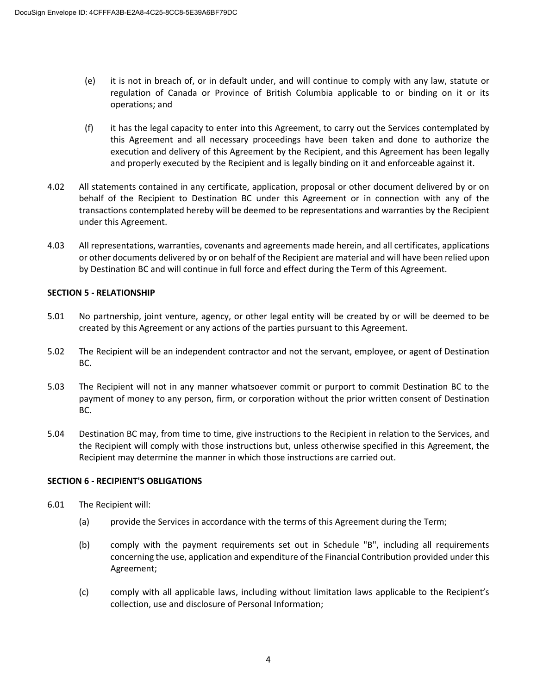- (e) it is not in breach of, or in default under, and will continue to comply with any law, statute or regulation of Canada or Province of British Columbia applicable to or binding on it or its operations; and
- (f) it has the legal capacity to enter into this Agreement, to carry out the Services contemplated by this Agreement and all necessary proceedings have been taken and done to authorize the execution and delivery of this Agreement by the Recipient, and this Agreement has been legally and properly executed by the Recipient and is legally binding on it and enforceable against it.
- 4.02 All statements contained in any certificate, application, proposal or other document delivered by or on behalf of the Recipient to Destination BC under this Agreement or in connection with any of the transactions contemplated hereby will be deemed to be representations and warranties by the Recipient under this Agreement.
- 4.03 All representations, warranties, covenants and agreements made herein, and all certificates, applications or other documents delivered by or on behalf of the Recipient are material and will have been relied upon by Destination BC and will continue in full force and effect during the Term of this Agreement.

## **SECTION 5 - RELATIONSHIP**

- 5.01 No partnership, joint venture, agency, or other legal entity will be created by or will be deemed to be created by this Agreement or any actions of the parties pursuant to this Agreement.
- 5.02 The Recipient will be an independent contractor and not the servant, employee, or agent of Destination BC.
- 5.03 The Recipient will not in any manner whatsoever commit or purport to commit Destination BC to the payment of money to any person, firm, or corporation without the prior written consent of Destination BC.
- 5.04 Destination BC may, from time to time, give instructions to the Recipient in relation to the Services, and the Recipient will comply with those instructions but, unless otherwise specified in this Agreement, the Recipient may determine the manner in which those instructions are carried out.

## **SECTION 6 - RECIPIENT'S OBLIGATIONS**

- 6.01 The Recipient will:
	- (a) provide the Services in accordance with the terms of this Agreement during the Term;
	- (b) comply with the payment requirements set out in Schedule "B", including all requirements concerning the use, application and expenditure of the Financial Contribution provided under this Agreement;
	- (c) comply with all applicable laws, including without limitation laws applicable to the Recipient's collection, use and disclosure of Personal Information;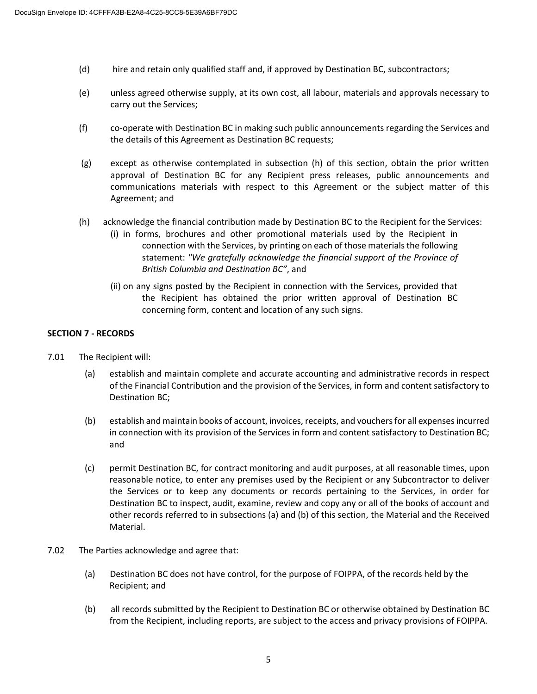- (d) hire and retain only qualified staff and, if approved by Destination BC, subcontractors;
- (e) unless agreed otherwise supply, at its own cost, all labour, materials and approvals necessary to carry out the Services;
- (f) co-operate with Destination BC in making such public announcements regarding the Services and the details of this Agreement as Destination BC requests;
- (g) except as otherwise contemplated in subsection (h) of this section, obtain the prior written approval of Destination BC for any Recipient press releases, public announcements and communications materials with respect to this Agreement or the subject matter of this Agreement; and
- (h) acknowledge the financial contribution made by Destination BC to the Recipient for the Services:
	- (i) in forms, brochures and other promotional materials used by the Recipient in connection with the Services, by printing on each of those materials the following statement: *"We gratefully acknowledge the financial support of the Province of British Columbia and Destination BC"*, and
	- (ii) on any signs posted by the Recipient in connection with the Services, provided that the Recipient has obtained the prior written approval of Destination BC concerning form, content and location of any such signs.

## **SECTION 7 - RECORDS**

- 7.01 The Recipient will:
	- (a) establish and maintain complete and accurate accounting and administrative records in respect of the Financial Contribution and the provision of the Services, in form and content satisfactory to Destination BC;
	- (b) establish and maintain books of account, invoices, receipts, and vouchers for all expenses incurred in connection with its provision of the Services in form and content satisfactory to Destination BC; and
	- (c) permit Destination BC, for contract monitoring and audit purposes, at all reasonable times, upon reasonable notice, to enter any premises used by the Recipient or any Subcontractor to deliver the Services or to keep any documents or records pertaining to the Services, in order for Destination BC to inspect, audit, examine, review and copy any or all of the books of account and other records referred to in subsections (a) and (b) of this section, the Material and the Received Material.
- 7.02 The Parties acknowledge and agree that:
	- (a) Destination BC does not have control, for the purpose of FOIPPA, of the records held by the Recipient; and
	- (b) all records submitted by the Recipient to Destination BC or otherwise obtained by Destination BC from the Recipient, including reports, are subject to the access and privacy provisions of FOIPPA*.*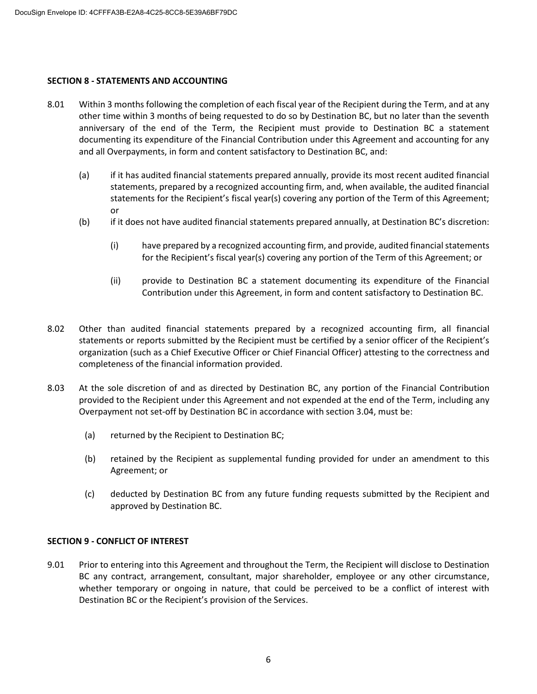#### **SECTION 8 - STATEMENTS AND ACCOUNTING**

- 8.01 Within 3 months following the completion of each fiscal year of the Recipient during the Term, and at any other time within 3 months of being requested to do so by Destination BC, but no later than the seventh anniversary of the end of the Term, the Recipient must provide to Destination BC a statement documenting its expenditure of the Financial Contribution under this Agreement and accounting for any and all Overpayments, in form and content satisfactory to Destination BC, and:
	- (a) if it has audited financial statements prepared annually, provide its most recent audited financial statements, prepared by a recognized accounting firm, and, when available, the audited financial statements for the Recipient's fiscal year(s) covering any portion of the Term of this Agreement; or
	- (b) if it does not have audited financial statements prepared annually, at Destination BC's discretion:
		- (i) have prepared by a recognized accounting firm, and provide, audited financial statements for the Recipient's fiscal year(s) covering any portion of the Term of this Agreement; or
		- (ii) provide to Destination BC a statement documenting its expenditure of the Financial Contribution under this Agreement, in form and content satisfactory to Destination BC.
- 8.02 Other than audited financial statements prepared by a recognized accounting firm, all financial statements or reports submitted by the Recipient must be certified by a senior officer of the Recipient's organization (such as a Chief Executive Officer or Chief Financial Officer) attesting to the correctness and completeness of the financial information provided.
- 8.03 At the sole discretion of and as directed by Destination BC, any portion of the Financial Contribution provided to the Recipient under this Agreement and not expended at the end of the Term, including any Overpayment not set-off by Destination BC in accordance with section 3.04, must be:
	- (a) returned by the Recipient to Destination BC;
	- (b) retained by the Recipient as supplemental funding provided for under an amendment to this Agreement; or
	- (c) deducted by Destination BC from any future funding requests submitted by the Recipient and approved by Destination BC.

## **SECTION 9 - CONFLICT OF INTEREST**

9.01 Prior to entering into this Agreement and throughout the Term, the Recipient will disclose to Destination BC any contract, arrangement, consultant, major shareholder, employee or any other circumstance, whether temporary or ongoing in nature, that could be perceived to be a conflict of interest with Destination BC or the Recipient's provision of the Services.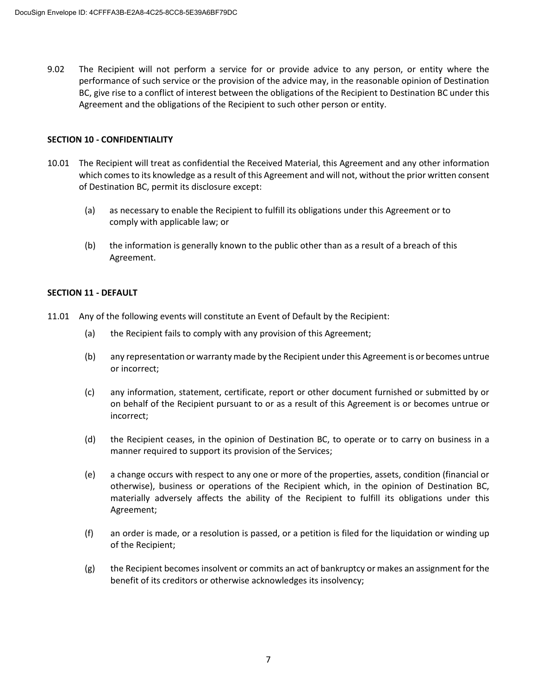9.02 The Recipient will not perform a service for or provide advice to any person, or entity where the performance of such service or the provision of the advice may, in the reasonable opinion of Destination BC, give rise to a conflict of interest between the obligations of the Recipient to Destination BC under this Agreement and the obligations of the Recipient to such other person or entity.

#### **SECTION 10 - CONFIDENTIALITY**

- 10.01 The Recipient will treat as confidential the Received Material, this Agreement and any other information which comes to its knowledge as a result of this Agreement and will not, without the prior written consent of Destination BC, permit its disclosure except:
	- (a) as necessary to enable the Recipient to fulfill its obligations under this Agreement or to comply with applicable law; or
	- (b) the information is generally known to the public other than as a result of a breach of this Agreement.

#### **SECTION 11 - DEFAULT**

- 11.01 Any of the following events will constitute an Event of Default by the Recipient:
	- (a) the Recipient fails to comply with any provision of this Agreement;
	- (b) any representation or warranty made by the Recipient under this Agreement is or becomes untrue or incorrect;
	- (c) any information, statement, certificate, report or other document furnished or submitted by or on behalf of the Recipient pursuant to or as a result of this Agreement is or becomes untrue or incorrect;
	- (d) the Recipient ceases, in the opinion of Destination BC, to operate or to carry on business in a manner required to support its provision of the Services;
	- (e) a change occurs with respect to any one or more of the properties, assets, condition (financial or otherwise), business or operations of the Recipient which, in the opinion of Destination BC, materially adversely affects the ability of the Recipient to fulfill its obligations under this Agreement;
	- (f) an order is made, or a resolution is passed, or a petition is filed for the liquidation or winding up of the Recipient;
	- (g) the Recipient becomes insolvent or commits an act of bankruptcy or makes an assignment for the benefit of its creditors or otherwise acknowledges its insolvency;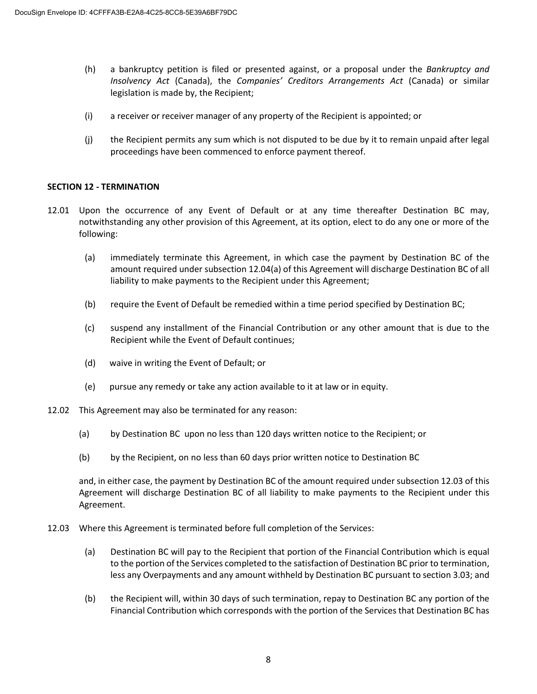- (h) a bankruptcy petition is filed or presented against, or a proposal under the *Bankruptcy and Insolvency Act* (Canada), the *Companies' Creditors Arrangements Act* (Canada) or similar legislation is made by, the Recipient;
- (i) a receiver or receiver manager of any property of the Recipient is appointed; or
- (j) the Recipient permits any sum which is not disputed to be due by it to remain unpaid after legal proceedings have been commenced to enforce payment thereof.

#### **SECTION 12 - TERMINATION**

- 12.01 Upon the occurrence of any Event of Default or at any time thereafter Destination BC may, notwithstanding any other provision of this Agreement, at its option, elect to do any one or more of the following:
	- (a) immediately terminate this Agreement, in which case the payment by Destination BC of the amount required under subsection 12.04(a) of this Agreement will discharge Destination BC of all liability to make payments to the Recipient under this Agreement;
	- (b) require the Event of Default be remedied within a time period specified by Destination BC;
	- (c) suspend any installment of the Financial Contribution or any other amount that is due to the Recipient while the Event of Default continues;
	- (d) waive in writing the Event of Default; or
	- (e) pursue any remedy or take any action available to it at law or in equity.
- 12.02 This Agreement may also be terminated for any reason:
	- (a) by Destination BC upon no less than 120 days written notice to the Recipient; or
	- (b) by the Recipient, on no less than 60 days prior written notice to Destination BC

and, in either case, the payment by Destination BC of the amount required under subsection 12.03 of this Agreement will discharge Destination BC of all liability to make payments to the Recipient under this Agreement.

- 12.03 Where this Agreement is terminated before full completion of the Services:
	- (a) Destination BC will pay to the Recipient that portion of the Financial Contribution which is equal to the portion of the Services completed to the satisfaction of Destination BC prior to termination, less any Overpayments and any amount withheld by Destination BC pursuant to section 3.03; and
	- (b) the Recipient will, within 30 days of such termination, repay to Destination BC any portion of the Financial Contribution which corresponds with the portion of the Services that Destination BC has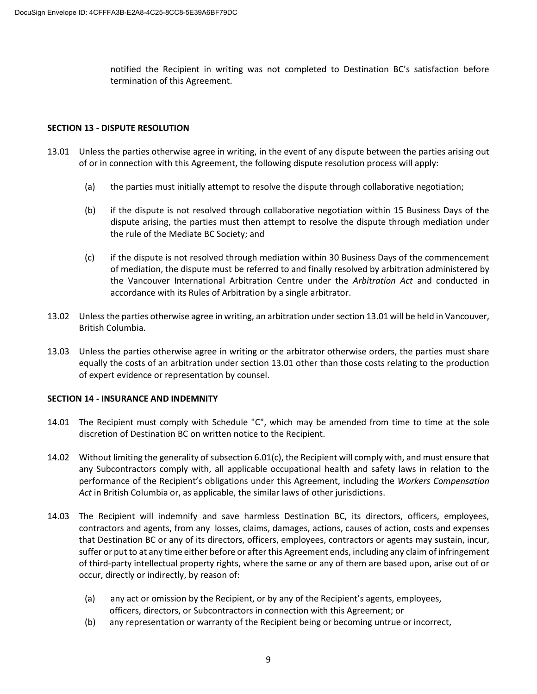notified the Recipient in writing was not completed to Destination BC's satisfaction before termination of this Agreement.

## **SECTION 13 - DISPUTE RESOLUTION**

- 13.01 Unless the parties otherwise agree in writing, in the event of any dispute between the parties arising out of or in connection with this Agreement, the following dispute resolution process will apply:
	- (a) the parties must initially attempt to resolve the dispute through collaborative negotiation;
	- (b) if the dispute is not resolved through collaborative negotiation within 15 Business Days of the dispute arising, the parties must then attempt to resolve the dispute through mediation under the rule of the Mediate BC Society; and
	- (c) if the dispute is not resolved through mediation within 30 Business Days of the commencement of mediation, the dispute must be referred to and finally resolved by arbitration administered by the Vancouver International Arbitration Centre under the *Arbitration Act* and conducted in accordance with its Rules of Arbitration by a single arbitrator.
- 13.02 Unless the parties otherwise agree in writing, an arbitration under section 13.01 will be held in Vancouver, British Columbia.
- 13.03 Unless the parties otherwise agree in writing or the arbitrator otherwise orders, the parties must share equally the costs of an arbitration under section 13.01 other than those costs relating to the production of expert evidence or representation by counsel.

#### **SECTION 14 - INSURANCE AND INDEMNITY**

- 14.01 The Recipient must comply with Schedule "C", which may be amended from time to time at the sole discretion of Destination BC on written notice to the Recipient.
- 14.02 Without limiting the generality of subsection 6.01(c), the Recipient will comply with, and must ensure that any Subcontractors comply with, all applicable occupational health and safety laws in relation to the performance of the Recipient's obligations under this Agreement, including the *Workers Compensation Act* in British Columbia or, as applicable, the similar laws of other jurisdictions.
- 14.03 The Recipient will indemnify and save harmless Destination BC, its directors, officers, employees, contractors and agents, from any losses, claims, damages, actions, causes of action, costs and expenses that Destination BC or any of its directors, officers, employees, contractors or agents may sustain, incur, suffer or put to at any time either before or after this Agreement ends, including any claim of infringement of third-party intellectual property rights, where the same or any of them are based upon, arise out of or occur, directly or indirectly, by reason of:
	- (a) any act or omission by the Recipient, or by any of the Recipient's agents, employees, officers, directors, or Subcontractors in connection with this Agreement; or
	- (b) any representation or warranty of the Recipient being or becoming untrue or incorrect,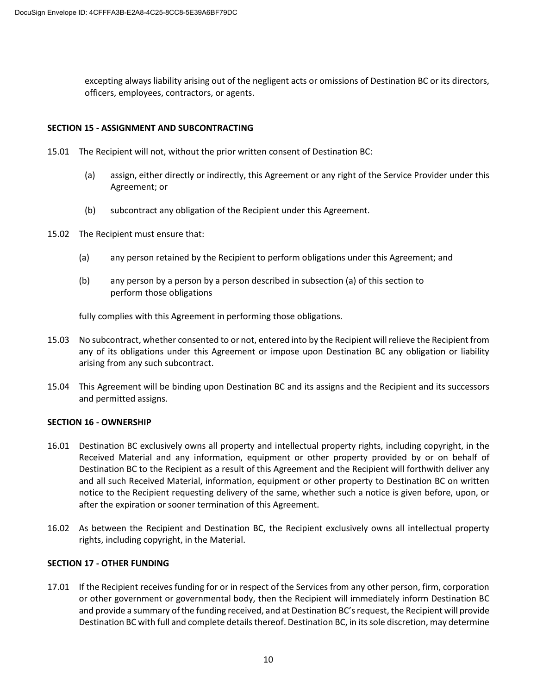excepting always liability arising out of the negligent acts or omissions of Destination BC or its directors, officers, employees, contractors, or agents.

#### **SECTION 15 - ASSIGNMENT AND SUBCONTRACTING**

- 15.01 The Recipient will not, without the prior written consent of Destination BC:
	- (a) assign, either directly or indirectly, this Agreement or any right of the Service Provider under this Agreement; or
	- (b) subcontract any obligation of the Recipient under this Agreement.
- 15.02 The Recipient must ensure that:
	- (a) any person retained by the Recipient to perform obligations under this Agreement; and
	- (b) any person by a person by a person described in subsection (a) of this section to perform those obligations

fully complies with this Agreement in performing those obligations.

- 15.03 No subcontract, whether consented to or not, entered into by the Recipient will relieve the Recipient from any of its obligations under this Agreement or impose upon Destination BC any obligation or liability arising from any such subcontract.
- 15.04 This Agreement will be binding upon Destination BC and its assigns and the Recipient and its successors and permitted assigns.

#### **SECTION 16 - OWNERSHIP**

- 16.01 Destination BC exclusively owns all property and intellectual property rights, including copyright, in the Received Material and any information, equipment or other property provided by or on behalf of Destination BC to the Recipient as a result of this Agreement and the Recipient will forthwith deliver any and all such Received Material, information, equipment or other property to Destination BC on written notice to the Recipient requesting delivery of the same, whether such a notice is given before, upon, or after the expiration or sooner termination of this Agreement.
- 16.02 As between the Recipient and Destination BC, the Recipient exclusively owns all intellectual property rights, including copyright, in the Material.

## **SECTION 17 - OTHER FUNDING**

17.01 If the Recipient receives funding for or in respect of the Services from any other person, firm, corporation or other government or governmental body, then the Recipient will immediately inform Destination BC and provide a summary of the funding received, and at Destination BC's request, the Recipient will provide Destination BC with full and complete details thereof. Destination BC, in its sole discretion, may determine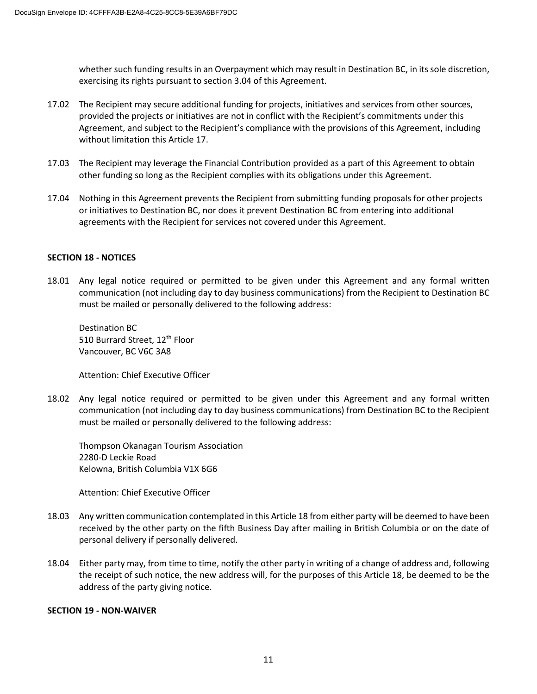whether such funding results in an Overpayment which may result in Destination BC, in its sole discretion, exercising its rights pursuant to section 3.04 of this Agreement.

- 17.02 The Recipient may secure additional funding for projects, initiatives and services from other sources, provided the projects or initiatives are not in conflict with the Recipient's commitments under this Agreement, and subject to the Recipient's compliance with the provisions of this Agreement, including without limitation this Article 17.
- 17.03 The Recipient may leverage the Financial Contribution provided as a part of this Agreement to obtain other funding so long as the Recipient complies with its obligations under this Agreement.
- 17.04 Nothing in this Agreement prevents the Recipient from submitting funding proposals for other projects or initiatives to Destination BC, nor does it prevent Destination BC from entering into additional agreements with the Recipient for services not covered under this Agreement.

## **SECTION 18 - NOTICES**

18.01 Any legal notice required or permitted to be given under this Agreement and any formal written communication (not including day to day business communications) from the Recipient to Destination BC must be mailed or personally delivered to the following address:

Destination BC 510 Burrard Street, 12<sup>th</sup> Floor Vancouver, BC V6C 3A8

Attention: Chief Executive Officer

18.02 Any legal notice required or permitted to be given under this Agreement and any formal written communication (not including day to day business communications) from Destination BC to the Recipient must be mailed or personally delivered to the following address:

Thompson Okanagan Tourism Association 2280-D Leckie Road Kelowna, British Columbia V1X 6G6

Attention: Chief Executive Officer

- 18.03 Any written communication contemplated in this Article 18 from either party will be deemed to have been received by the other party on the fifth Business Day after mailing in British Columbia or on the date of personal delivery if personally delivered.
- 18.04 Either party may, from time to time, notify the other party in writing of a change of address and, following the receipt of such notice, the new address will, for the purposes of this Article 18, be deemed to be the address of the party giving notice.

#### **SECTION 19 - NON-WAIVER**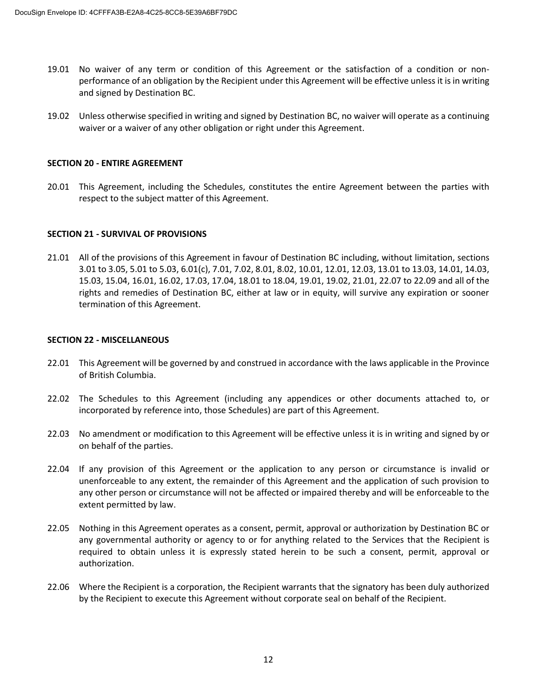- 19.01 No waiver of any term or condition of this Agreement or the satisfaction of a condition or nonperformance of an obligation by the Recipient under this Agreement will be effective unless it is in writing and signed by Destination BC.
- 19.02 Unless otherwise specified in writing and signed by Destination BC, no waiver will operate as a continuing waiver or a waiver of any other obligation or right under this Agreement.

#### **SECTION 20 - ENTIRE AGREEMENT**

20.01 This Agreement, including the Schedules, constitutes the entire Agreement between the parties with respect to the subject matter of this Agreement.

#### **SECTION 21 - SURVIVAL OF PROVISIONS**

21.01 All of the provisions of this Agreement in favour of Destination BC including, without limitation, sections 3.01 to 3.05, 5.01 to 5.03, 6.01(c), 7.01, 7.02, 8.01, 8.02, 10.01, 12.01, 12.03, 13.01 to 13.03, 14.01, 14.03, 15.03, 15.04, 16.01, 16.02, 17.03, 17.04, 18.01 to 18.04, 19.01, 19.02, 21.01, 22.07 to 22.09 and all of the rights and remedies of Destination BC, either at law or in equity, will survive any expiration or sooner termination of this Agreement.

#### **SECTION 22 - MISCELLANEOUS**

- 22.01 This Agreement will be governed by and construed in accordance with the laws applicable in the Province of British Columbia.
- 22.02 The Schedules to this Agreement (including any appendices or other documents attached to, or incorporated by reference into, those Schedules) are part of this Agreement.
- 22.03 No amendment or modification to this Agreement will be effective unless it is in writing and signed by or on behalf of the parties.
- 22.04 If any provision of this Agreement or the application to any person or circumstance is invalid or unenforceable to any extent, the remainder of this Agreement and the application of such provision to any other person or circumstance will not be affected or impaired thereby and will be enforceable to the extent permitted by law.
- 22.05 Nothing in this Agreement operates as a consent, permit, approval or authorization by Destination BC or any governmental authority or agency to or for anything related to the Services that the Recipient is required to obtain unless it is expressly stated herein to be such a consent, permit, approval or authorization.
- 22.06 Where the Recipient is a corporation, the Recipient warrants that the signatory has been duly authorized by the Recipient to execute this Agreement without corporate seal on behalf of the Recipient.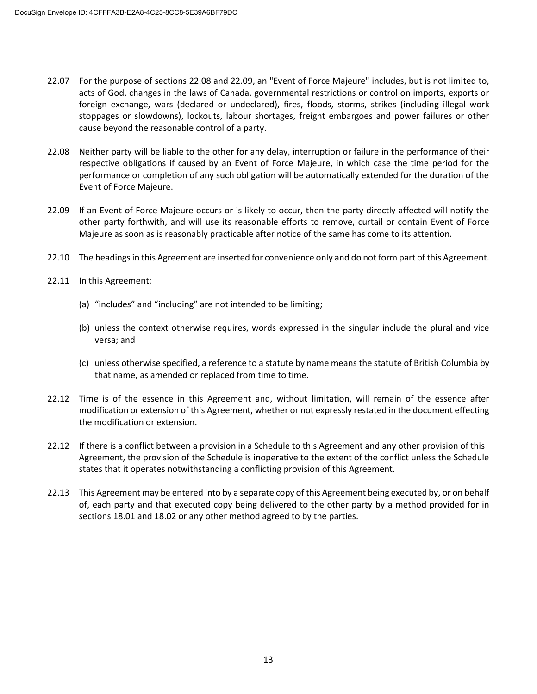- 22.07 For the purpose of sections 22.08 and 22.09, an "Event of Force Majeure" includes, but is not limited to, acts of God, changes in the laws of Canada, governmental restrictions or control on imports, exports or foreign exchange, wars (declared or undeclared), fires, floods, storms, strikes (including illegal work stoppages or slowdowns), lockouts, labour shortages, freight embargoes and power failures or other cause beyond the reasonable control of a party.
- 22.08 Neither party will be liable to the other for any delay, interruption or failure in the performance of their respective obligations if caused by an Event of Force Majeure, in which case the time period for the performance or completion of any such obligation will be automatically extended for the duration of the Event of Force Majeure.
- 22.09 If an Event of Force Majeure occurs or is likely to occur, then the party directly affected will notify the other party forthwith, and will use its reasonable efforts to remove, curtail or contain Event of Force Majeure as soon as is reasonably practicable after notice of the same has come to its attention.
- 22.10 The headings in this Agreement are inserted for convenience only and do not form part of this Agreement.
- 22.11 In this Agreement:
	- (a) "includes" and "including" are not intended to be limiting;
	- (b) unless the context otherwise requires, words expressed in the singular include the plural and vice versa; and
	- (c) unless otherwise specified, a reference to a statute by name means the statute of British Columbia by that name, as amended or replaced from time to time.
- 22.12 Time is of the essence in this Agreement and, without limitation, will remain of the essence after modification or extension of this Agreement, whether or not expressly restated in the document effecting the modification or extension.
- 22.12 If there is a conflict between a provision in a Schedule to this Agreement and any other provision of this Agreement, the provision of the Schedule is inoperative to the extent of the conflict unless the Schedule states that it operates notwithstanding a conflicting provision of this Agreement.
- 22.13 This Agreement may be entered into by a separate copy of this Agreement being executed by, or on behalf of, each party and that executed copy being delivered to the other party by a method provided for in sections 18.01 and 18.02 or any other method agreed to by the parties.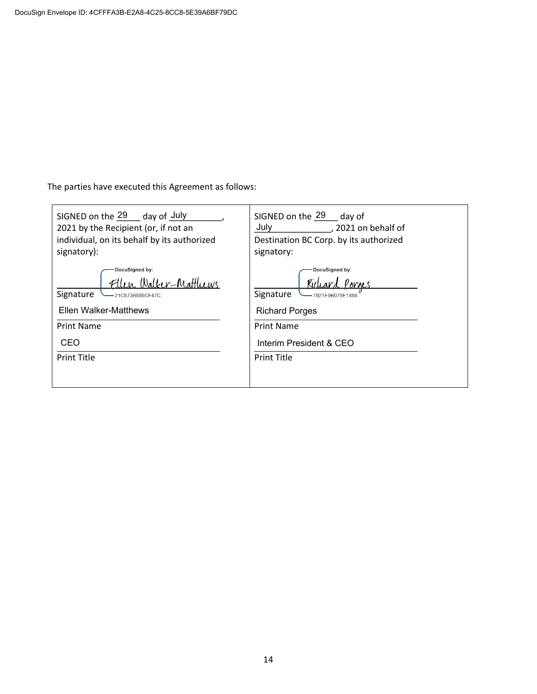The parties have executed this Agreement as follows:

| SIGNED on the 29 day of July<br>2021 by the Recipient (or, if not an<br>individual, on its behalf by its authorized<br>signatory):                  | SIGNED on the 29 day of<br>July<br>, 2021 on behalf of<br>Destination BC Corp. by its authorized<br>signatory:                                 |  |  |
|-----------------------------------------------------------------------------------------------------------------------------------------------------|------------------------------------------------------------------------------------------------------------------------------------------------|--|--|
| DocuSigned by:<br>llen, Walker-Matthews<br>Signature<br>-21C673B686CF47C<br>Ellen Walker-Matthews<br><b>Print Name</b><br>CEO<br><b>Print Title</b> | DocuSigned by:<br>Signature<br>-7921E9B079E1498<br><b>Richard Porges</b><br><b>Print Name</b><br>Interim President & CEO<br><b>Print Title</b> |  |  |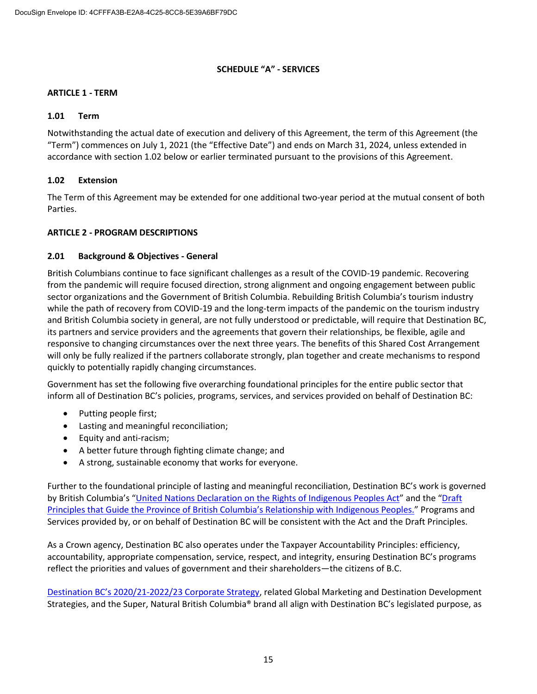## **SCHEDULE "A" - SERVICES**

## **ARTICLE 1 - TERM**

#### **1.01 Term**

Notwithstanding the actual date of execution and delivery of this Agreement, the term of this Agreement (the "Term") commences on July 1, 2021 (the "Effective Date") and ends on March 31, 2024, unless extended in accordance with section 1.02 below or earlier terminated pursuant to the provisions of this Agreement.

## **1.02 Extension**

The Term of this Agreement may be extended for one additional two-year period at the mutual consent of both Parties.

#### **ARTICLE 2 - PROGRAM DESCRIPTIONS**

#### **2.01 Background & Objectives - General**

British Columbians continue to face significant challenges as a result of the COVID-19 pandemic. Recovering from the pandemic will require focused direction, strong alignment and ongoing engagement between public sector organizations and the Government of British Columbia. Rebuilding British Columbia's tourism industry while the path of recovery from COVID-19 and the long-term impacts of the pandemic on the tourism industry and British Columbia society in general, are not fully understood or predictable, will require that Destination BC, its partners and service providers and the agreements that govern their relationships, be flexible, agile and responsive to changing circumstances over the next three years. The benefits of this Shared Cost Arrangement will only be fully realized if the partners collaborate strongly, plan together and create mechanisms to respond quickly to potentially rapidly changing circumstances.

Government has set the following five overarching foundational principles for the entire public sector that inform all of Destination BC's policies, programs, services, and services provided on behalf of Destination BC:

- Putting people first;
- Lasting and meaningful reconciliation;
- Equity and anti-racism;
- A better future through fighting climate change; and
- A strong, sustainable economy that works for everyone.

Further to the foundational principle of lasting and meaningful reconciliation, Destination BC's work is governed by British Columbia's "United Nations Declaration [on the Rights of Indigenous Peoples Act](https://www.leg.bc.ca/parliamentary-business/legislation-debates-proceedings/41st-parliament/4th-session/bills/first-reading/gov41-1)" and the "Draft [Principles that Guide the Province of British Columbia's Relationship with](https://www2.gov.bc.ca/assets/gov/careers/about-the-bc-public-service/diversity-inclusion-respect/draft_principles.pdf) Indigenous Peoples." Programs and Services provided by, or on behalf of Destination BC will be consistent with the Act and the Draft Principles.

As a Crown agency, Destination BC also operates under the Taxpayer Accountability Principles: efficiency, accountability, appropriate compensation, service, respect, and integrity, ensuring Destination BC's programs reflect the priorities and values of government and their shareholders—the citizens of B.C.

Destination BC's 2020/21[-2022/23 Corporate Strategy,](https://www.destinationbc.ca/content/uploads/2021/03/CorporateStrategy2020-2023_March2021_Update-March-9.pdf) related Global Marketing and Destination Development Strategies, and the Super, Natural British Columbia® brand all align with Destination BC's legislated purpose, as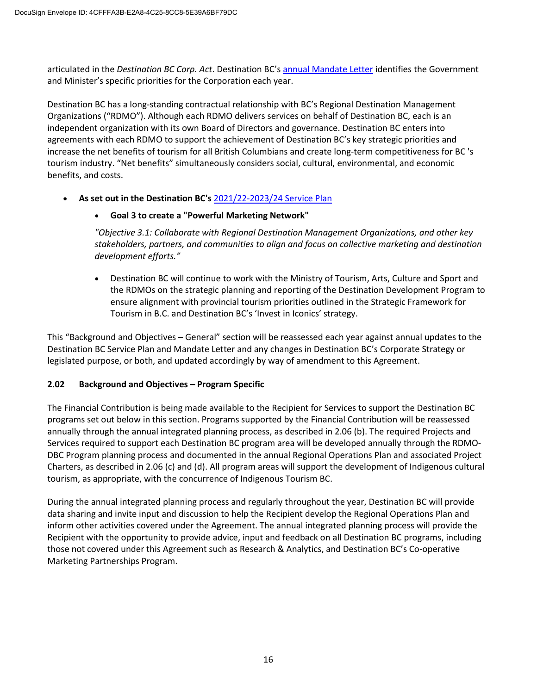articulated in the *Destination BC Corp. Act*. Destination BC's [annual Mandate Letter](https://www.destinationbc.ca/content/uploads/2021/06/2021-22DBCMandateLetter-Signed_Final.pdf) identifies the Government and Minister's specific priorities for the Corporation each year.

Destination BC has a long-standing contractual relationship with BC's Regional Destination Management Organizations ("RDMO"). Although each RDMO delivers services on behalf of Destination BC, each is an independent organization with its own Board of Directors and governance. Destination BC enters into agreements with each RDMO to support the achievement of Destination BC's key strategic priorities and increase the net benefits of tourism for all British Columbians and create long-term competitiveness for BC 's tourism industry. "Net benefits" simultaneously considers social, cultural, environmental, and economic benefits, and costs.

• **As set out in the Destination BC's** [2021/22-2023/24 Service Plan](https://www.destinationbc.ca/content/uploads/2021/04/2021-22DBCService-Plan_Final.pdf)

# • **Goal 3 to create a "Powerful Marketing Network"**

*"Objective 3.1: Collaborate with Regional Destination Management Organizations, and other key stakeholders, partners, and communities to align and focus on collective marketing and destination development efforts."*

• Destination BC will continue to work with the Ministry of Tourism, Arts, Culture and Sport and the RDMOs on the strategic planning and reporting of the Destination Development Program to ensure alignment with provincial tourism priorities outlined in the Strategic Framework for Tourism in B.C. and Destination BC's 'Invest in Iconics' strategy.

This "Background and Objectives – General" section will be reassessed each year against annual updates to the Destination BC Service Plan and Mandate Letter and any changes in Destination BC's Corporate Strategy or legislated purpose, or both, and updated accordingly by way of amendment to this Agreement.

## **2.02 Background and Objectives – Program Specific**

The Financial Contribution is being made available to the Recipient for Services to support the Destination BC programs set out below in this section. Programs supported by the Financial Contribution will be reassessed annually through the annual integrated planning process, as described in 2.06 (b). The required Projects and Services required to support each Destination BC program area will be developed annually through the RDMO-DBC Program planning process and documented in the annual Regional Operations Plan and associated Project Charters, as described in 2.06 (c) and (d). All program areas will support the development of Indigenous cultural tourism, as appropriate, with the concurrence of Indigenous Tourism BC.

During the annual integrated planning process and regularly throughout the year, Destination BC will provide data sharing and invite input and discussion to help the Recipient develop the Regional Operations Plan and inform other activities covered under the Agreement. The annual integrated planning process will provide the Recipient with the opportunity to provide advice, input and feedback on all Destination BC programs, including those not covered under this Agreement such as Research & Analytics, and Destination BC's Co-operative Marketing Partnerships Program.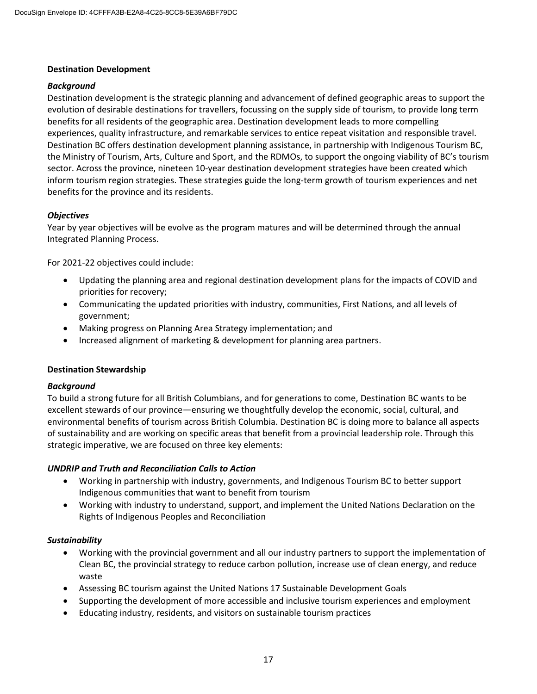#### **Destination Development**

#### *Background*

Destination development is the strategic planning and advancement of defined geographic areas to support the evolution of desirable destinations for travellers, focussing on the supply side of tourism, to provide long term benefits for all residents of the geographic area. Destination development leads to more compelling experiences, quality infrastructure, and remarkable services to entice repeat visitation and responsible travel. Destination BC offers destination development planning assistance, in partnership with Indigenous Tourism BC, the Ministry of Tourism, Arts, Culture and Sport, and the RDMOs, to support the ongoing viability of BC's tourism sector. Across the province, nineteen 10-year destination development strategies have been created which inform tourism region strategies. These strategies guide the long-term growth of tourism experiences and net benefits for the province and its residents.

## *Objectives*

Year by year objectives will be evolve as the program matures and will be determined through the annual Integrated Planning Process.

For 2021-22 objectives could include:

- Updating the planning area and regional destination development plans for the impacts of COVID and priorities for recovery;
- Communicating the updated priorities with industry, communities, First Nations, and all levels of government;
- Making progress on Planning Area Strategy implementation; and
- Increased alignment of marketing & development for planning area partners.

#### **Destination Stewardship**

#### *Background*

To build a strong future for all British Columbians, and for generations to come, Destination BC wants to be excellent stewards of our province—ensuring we thoughtfully develop the economic, social, cultural, and environmental benefits of tourism across British Columbia. Destination BC is doing more to balance all aspects of sustainability and are working on specific areas that benefit from a provincial leadership role. Through this strategic imperative, we are focused on three key elements:

#### *UNDRIP and Truth and Reconciliation Calls to Action*

- Working in partnership with industry, governments, and Indigenous Tourism BC to better support Indigenous communities that want to benefit from tourism
- Working with industry to understand, support, and implement the United Nations Declaration on the Rights of Indigenous Peoples and Reconciliation

#### *Sustainability*

- Working with the provincial government and all our industry partners to support the implementation of Clean BC, the provincial strategy to reduce carbon pollution, increase use of clean energy, and reduce waste
- Assessing BC tourism against the United Nations 17 Sustainable Development Goals
- Supporting the development of more accessible and inclusive tourism experiences and employment
- Educating industry, residents, and visitors on sustainable tourism practices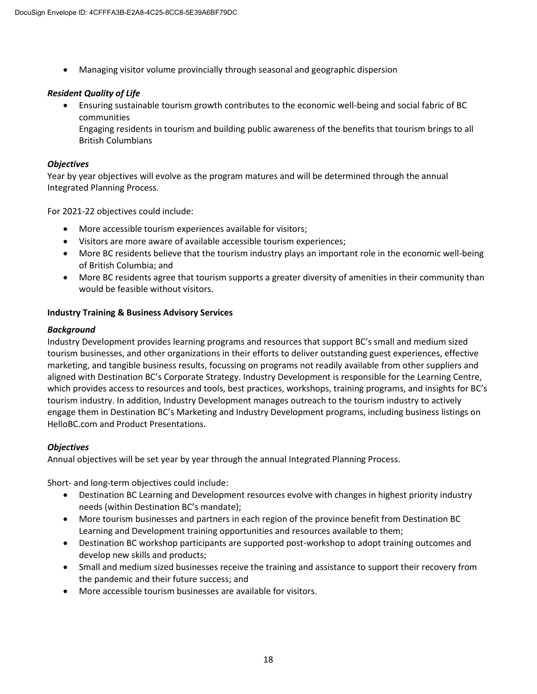• Managing visitor volume provincially through seasonal and geographic dispersion

# *Resident Quality of Life*

• Ensuring sustainable tourism growth contributes to the economic well-being and social fabric of BC communities

Engaging residents in tourism and building public awareness of the benefits that tourism brings to all British Columbians

## *Objectives*

Year by year objectives will evolve as the program matures and will be determined through the annual Integrated Planning Process.

For 2021-22 objectives could include:

- More accessible tourism experiences available for visitors;
- Visitors are more aware of available accessible tourism experiences;
- More BC residents believe that the tourism industry plays an important role in the economic well-being of British Columbia; and
- More BC residents agree that tourism supports a greater diversity of amenities in their community than would be feasible without visitors.

# **Industry Training & Business Advisory Services**

# *Background*

Industry Development provides learning programs and resources that support BC's small and medium sized tourism businesses, and other organizations in their efforts to deliver outstanding guest experiences, effective marketing, and tangible business results, focussing on programs not readily available from other suppliers and aligned with Destination BC's Corporate Strategy. Industry Development is responsible for the Learning Centre, which provides access to resources and tools, best practices, workshops, training programs, and insights for BC's tourism industry. In addition, Industry Development manages outreach to the tourism industry to actively engage them in Destination BC's Marketing and Industry Development programs, including business listings on HelloBC.com and Product Presentations.

## *Objectives*

Annual objectives will be set year by year through the annual Integrated Planning Process.

Short- and long-term objectives could include:

- Destination BC Learning and Development resources evolve with changes in highest priority industry needs (within Destination BC's mandate);
- More tourism businesses and partners in each region of the province benefit from Destination BC Learning and Development training opportunities and resources available to them;
- Destination BC workshop participants are supported post-workshop to adopt training outcomes and develop new skills and products;
- Small and medium sized businesses receive the training and assistance to support their recovery from the pandemic and their future success; and
- More accessible tourism businesses are available for visitors.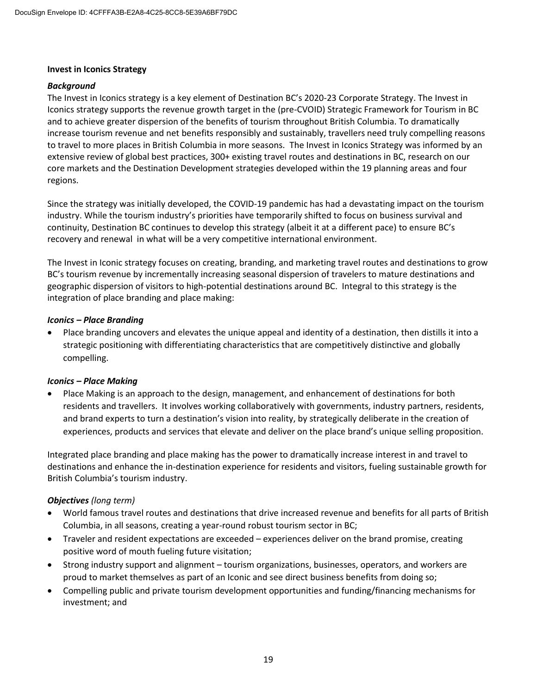#### **Invest in Iconics Strategy**

#### *Background*

The Invest in Iconics strategy is a key element of Destination BC's 2020-23 Corporate Strategy. The Invest in Iconics strategy supports the revenue growth target in the (pre-CVOID) Strategic Framework for Tourism in BC and to achieve greater dispersion of the benefits of tourism throughout British Columbia. To dramatically increase tourism revenue and net benefits responsibly and sustainably, travellers need truly compelling reasons to travel to more places in British Columbia in more seasons. The Invest in Iconics Strategy was informed by an extensive review of global best practices, 300+ existing travel routes and destinations in BC, research on our core markets and the Destination Development strategies developed within the 19 planning areas and four regions.

Since the strategy was initially developed, the COVID-19 pandemic has had a devastating impact on the tourism industry. While the tourism industry's priorities have temporarily shifted to focus on business survival and continuity, Destination BC continues to develop this strategy (albeit it at a different pace) to ensure BC's recovery and renewal in what will be a very competitive international environment.

The Invest in Iconic strategy focuses on creating, branding, and marketing travel routes and destinations to grow BC's tourism revenue by incrementally increasing seasonal dispersion of travelers to mature destinations and geographic dispersion of visitors to high-potential destinations around BC. Integral to this strategy is the integration of place branding and place making:

#### *Iconics – Place Branding*

• Place branding uncovers and elevates the unique appeal and identity of a destination, then distills it into a strategic positioning with differentiating characteristics that are competitively distinctive and globally compelling.

## *Iconics – Place Making*

• Place Making is an approach to the design, management, and enhancement of destinations for both residents and travellers. It involves working collaboratively with governments, industry partners, residents, and brand experts to turn a destination's vision into reality, by strategically deliberate in the creation of experiences, products and services that elevate and deliver on the place brand's unique selling proposition.

Integrated place branding and place making has the power to dramatically increase interest in and travel to destinations and enhance the in-destination experience for residents and visitors, fueling sustainable growth for British Columbia's tourism industry.

## *Objectives (long term)*

- World famous travel routes and destinations that drive increased revenue and benefits for all parts of British Columbia, in all seasons, creating a year-round robust tourism sector in BC;
- Traveler and resident expectations are exceeded experiences deliver on the brand promise, creating positive word of mouth fueling future visitation;
- Strong industry support and alignment tourism organizations, businesses, operators, and workers are proud to market themselves as part of an Iconic and see direct business benefits from doing so;
- Compelling public and private tourism development opportunities and funding/financing mechanisms for investment; and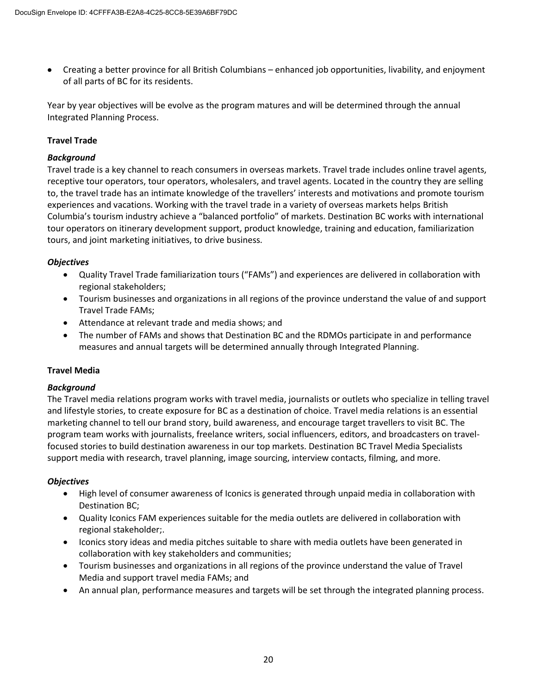• Creating a better province for all British Columbians – enhanced job opportunities, livability, and enjoyment of all parts of BC for its residents.

Year by year objectives will be evolve as the program matures and will be determined through the annual Integrated Planning Process.

# **Travel Trade**

# *Background*

Travel trade is a key channel to reach consumers in overseas markets. Travel trade includes online travel agents, receptive tour operators, tour operators, wholesalers, and travel agents. Located in the country they are selling to, the travel trade has an intimate knowledge of the travellers' interests and motivations and promote tourism experiences and vacations. Working with the travel trade in a variety of overseas markets helps British Columbia's tourism industry achieve a "balanced portfolio" of markets. Destination BC works with international tour operators on itinerary development support, product knowledge, training and education, familiarization tours, and joint marketing initiatives, to drive business.

# *Objectives*

- Quality Travel Trade familiarization tours ("FAMs") and experiences are delivered in collaboration with regional stakeholders;
- Tourism businesses and organizations in all regions of the province understand the value of and support Travel Trade FAMs;
- Attendance at relevant trade and media shows; and
- The number of FAMs and shows that Destination BC and the RDMOs participate in and performance measures and annual targets will be determined annually through Integrated Planning.

# **Travel Media**

## *Background*

The Travel media relations program works with travel media, journalists or outlets who specialize in telling travel and lifestyle stories, to create exposure for BC as a destination of choice. Travel media relations is an essential marketing channel to tell our brand story, build awareness, and encourage target travellers to visit BC. The program team works with journalists, freelance writers, social influencers, editors, and broadcasters on travelfocused stories to build destination awareness in our top markets. Destination BC Travel Media Specialists support media with research, travel planning, image sourcing, interview contacts, filming, and more.

## *Objectives*

- High level of consumer awareness of Iconics is generated through unpaid media in collaboration with Destination BC;
- Quality Iconics FAM experiences suitable for the media outlets are delivered in collaboration with regional stakeholder;.
- Iconics story ideas and media pitches suitable to share with media outlets have been generated in collaboration with key stakeholders and communities;
- Tourism businesses and organizations in all regions of the province understand the value of Travel Media and support travel media FAMs; and
- An annual plan, performance measures and targets will be set through the integrated planning process.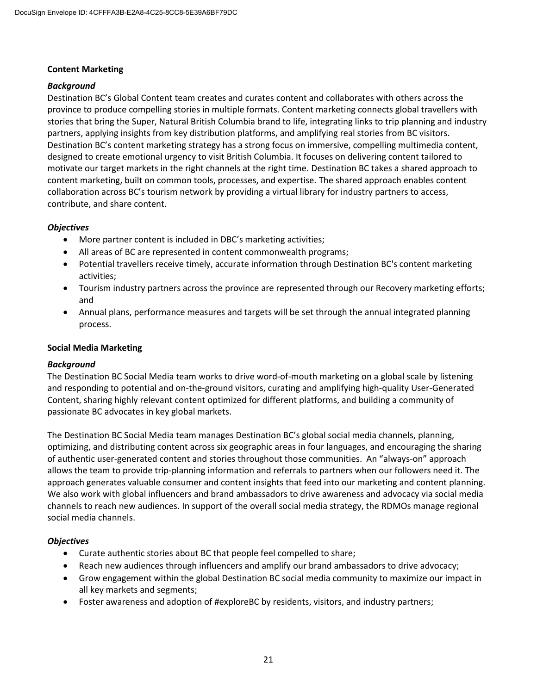## **Content Marketing**

# *Background*

Destination BC's Global Content team creates and curates content and collaborates with others across the province to produce compelling stories in multiple formats. Content marketing connects global travellers with stories that bring the Super, Natural British Columbia brand to life, integrating links to trip planning and industry partners, applying insights from key distribution platforms, and amplifying real stories from BC visitors. Destination BC's content marketing strategy has a strong focus on immersive, compelling multimedia content, designed to create emotional urgency to visit British Columbia. It focuses on delivering content tailored to motivate our target markets in the right channels at the right time. Destination BC takes a shared approach to content marketing, built on common tools, processes, and expertise. The shared approach enables content collaboration across BC's tourism network by providing a virtual library for industry partners to access, contribute, and share content.

# *Objectives*

- More partner content is included in DBC's marketing activities;
- All areas of BC are represented in content commonwealth programs;
- Potential travellers receive timely, accurate information through Destination BC's content marketing activities;
- Tourism industry partners across the province are represented through our Recovery marketing efforts; and
- Annual plans, performance measures and targets will be set through the annual integrated planning process.

## **Social Media Marketing**

## *Background*

The Destination BC Social Media team works to drive word-of-mouth marketing on a global scale by listening and responding to potential and on-the-ground visitors, curating and amplifying high-quality User-Generated Content, sharing highly relevant content optimized for different platforms, and building a community of passionate BC advocates in key global markets.

The Destination BC Social Media team manages Destination BC's global social media channels, planning, optimizing, and distributing content across six geographic areas in four languages, and encouraging the sharing of authentic user-generated content and stories throughout those communities. An "always-on" approach allows the team to provide trip-planning information and referrals to partners when our followers need it. The approach generates valuable consumer and content insights that feed into our marketing and content planning. We also work with global influencers and brand ambassadors to drive awareness and advocacy via social media channels to reach new audiences. In support of the overall social media strategy, the RDMOs manage regional social media channels.

## *Objectives*

- Curate authentic stories about BC that people feel compelled to share;
- Reach new audiences through influencers and amplify our brand ambassadors to drive advocacy;
- Grow engagement within the global Destination BC social media community to maximize our impact in all key markets and segments;
- Foster awareness and adoption of #exploreBC by residents, visitors, and industry partners;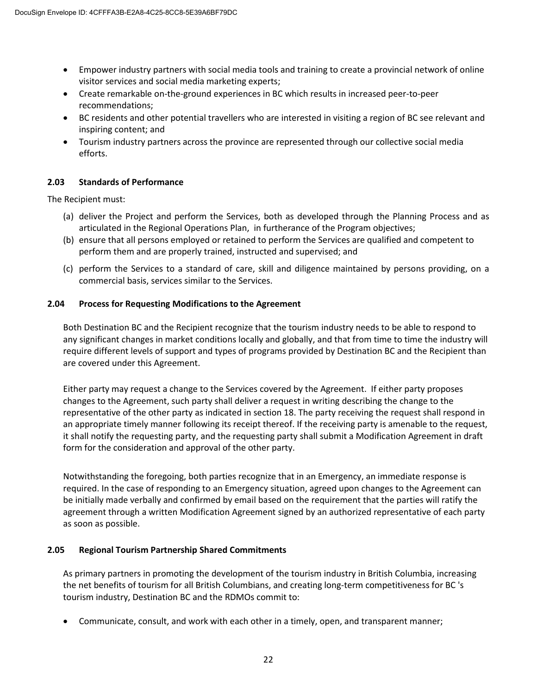- Empower industry partners with social media tools and training to create a provincial network of online visitor services and social media marketing experts;
- Create remarkable on-the-ground experiences in BC which results in increased peer-to-peer recommendations;
- BC residents and other potential travellers who are interested in visiting a region of BC see relevant and inspiring content; and
- Tourism industry partners across the province are represented through our collective social media efforts.

## **2.03 Standards of Performance**

The Recipient must:

- (a) deliver the Project and perform the Services, both as developed through the Planning Process and as articulated in the Regional Operations Plan, in furtherance of the Program objectives;
- (b) ensure that all persons employed or retained to perform the Services are qualified and competent to perform them and are properly trained, instructed and supervised; and
- (c) perform the Services to a standard of care, skill and diligence maintained by persons providing, on a commercial basis, services similar to the Services.

## **2.04 Process for Requesting Modifications to the Agreement**

Both Destination BC and the Recipient recognize that the tourism industry needs to be able to respond to any significant changes in market conditions locally and globally, and that from time to time the industry will require different levels of support and types of programs provided by Destination BC and the Recipient than are covered under this Agreement.

Either party may request a change to the Services covered by the Agreement. If either party proposes changes to the Agreement, such party shall deliver a request in writing describing the change to the representative of the other party as indicated in section 18. The party receiving the request shall respond in an appropriate timely manner following its receipt thereof. If the receiving party is amenable to the request, it shall notify the requesting party, and the requesting party shall submit a Modification Agreement in draft form for the consideration and approval of the other party.

Notwithstanding the foregoing, both parties recognize that in an Emergency, an immediate response is required. In the case of responding to an Emergency situation, agreed upon changes to the Agreement can be initially made verbally and confirmed by email based on the requirement that the parties will ratify the agreement through a written Modification Agreement signed by an authorized representative of each party as soon as possible.

## **2.05 Regional Tourism Partnership Shared Commitments**

As primary partners in promoting the development of the tourism industry in British Columbia, increasing the net benefits of tourism for all British Columbians, and creating long-term competitiveness for BC 's tourism industry, Destination BC and the RDMOs commit to:

• Communicate, consult, and work with each other in a timely, open, and transparent manner;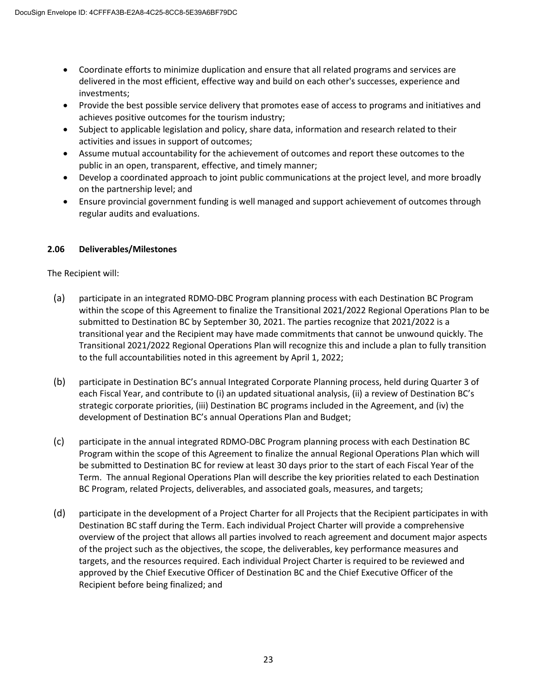- Coordinate efforts to minimize duplication and ensure that all related programs and services are delivered in the most efficient, effective way and build on each other's successes, experience and investments;
- Provide the best possible service delivery that promotes ease of access to programs and initiatives and achieves positive outcomes for the tourism industry;
- Subject to applicable legislation and policy, share data, information and research related to their activities and issues in support of outcomes;
- Assume mutual accountability for the achievement of outcomes and report these outcomes to the public in an open, transparent, effective, and timely manner;
- Develop a coordinated approach to joint public communications at the project level, and more broadly on the partnership level; and
- Ensure provincial government funding is well managed and support achievement of outcomes through regular audits and evaluations.

# **2.06 Deliverables/Milestones**

The Recipient will:

- (a) participate in an integrated RDMO-DBC Program planning process with each Destination BC Program within the scope of this Agreement to finalize the Transitional 2021/2022 Regional Operations Plan to be submitted to Destination BC by September 30, 2021. The parties recognize that 2021/2022 is a transitional year and the Recipient may have made commitments that cannot be unwound quickly. The Transitional 2021/2022 Regional Operations Plan will recognize this and include a plan to fully transition to the full accountabilities noted in this agreement by April 1, 2022;
- (b) participate in Destination BC's annual Integrated Corporate Planning process, held during Quarter 3 of each Fiscal Year, and contribute to (i) an updated situational analysis, (ii) a review of Destination BC's strategic corporate priorities, (iii) Destination BC programs included in the Agreement, and (iv) the development of Destination BC's annual Operations Plan and Budget;
- (c) participate in the annual integrated RDMO-DBC Program planning process with each Destination BC Program within the scope of this Agreement to finalize the annual Regional Operations Plan which will be submitted to Destination BC for review at least 30 days prior to the start of each Fiscal Year of the Term. The annual Regional Operations Plan will describe the key priorities related to each Destination BC Program, related Projects, deliverables, and associated goals, measures, and targets;
- (d) participate in the development of a Project Charter for all Projects that the Recipient participates in with Destination BC staff during the Term. Each individual Project Charter will provide a comprehensive overview of the project that allows all parties involved to reach agreement and document major aspects of the project such as the objectives, the scope, the deliverables, key performance measures and targets, and the resources required. Each individual Project Charter is required to be reviewed and approved by the Chief Executive Officer of Destination BC and the Chief Executive Officer of the Recipient before being finalized; and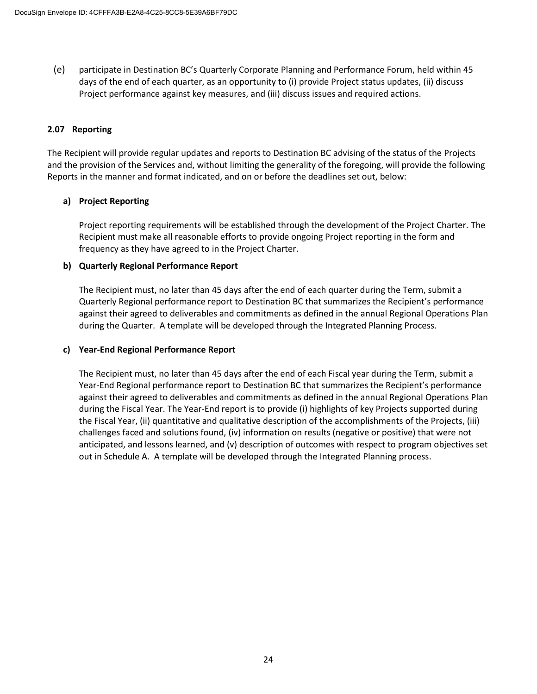(e) participate in Destination BC's Quarterly Corporate Planning and Performance Forum, held within 45 days of the end of each quarter, as an opportunity to (i) provide Project status updates, (ii) discuss Project performance against key measures, and (iii) discuss issues and required actions.

## **2.07 Reporting**

The Recipient will provide regular updates and reports to Destination BC advising of the status of the Projects and the provision of the Services and, without limiting the generality of the foregoing, will provide the following Reports in the manner and format indicated, and on or before the deadlines set out, below:

# **a) Project Reporting**

Project reporting requirements will be established through the development of the Project Charter. The Recipient must make all reasonable efforts to provide ongoing Project reporting in the form and frequency as they have agreed to in the Project Charter.

# **b) Quarterly Regional Performance Report**

The Recipient must, no later than 45 days after the end of each quarter during the Term, submit a Quarterly Regional performance report to Destination BC that summarizes the Recipient's performance against their agreed to deliverables and commitments as defined in the annual Regional Operations Plan during the Quarter. A template will be developed through the Integrated Planning Process.

## **c) Year-End Regional Performance Report**

The Recipient must, no later than 45 days after the end of each Fiscal year during the Term, submit a Year-End Regional performance report to Destination BC that summarizes the Recipient's performance against their agreed to deliverables and commitments as defined in the annual Regional Operations Plan during the Fiscal Year. The Year-End report is to provide (i) highlights of key Projects supported during the Fiscal Year, (ii) quantitative and qualitative description of the accomplishments of the Projects, (iii) challenges faced and solutions found, (iv) information on results (negative or positive) that were not anticipated, and lessons learned, and (v) description of outcomes with respect to program objectives set out in Schedule A. A template will be developed through the Integrated Planning process.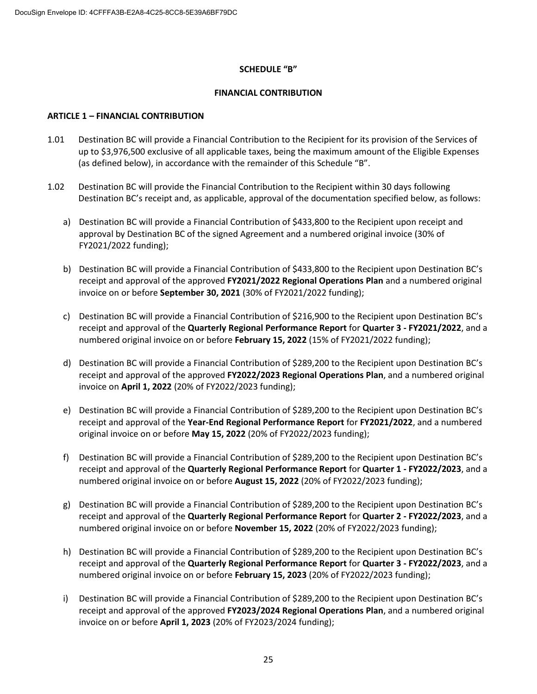#### **SCHEDULE "B"**

#### **FINANCIAL CONTRIBUTION**

#### **ARTICLE 1 – FINANCIAL CONTRIBUTION**

- 1.01 Destination BC will provide a Financial Contribution to the Recipient for its provision of the Services of up to \$3,976,500 exclusive of all applicable taxes, being the maximum amount of the Eligible Expenses (as defined below), in accordance with the remainder of this Schedule "B".
- 1.02 Destination BC will provide the Financial Contribution to the Recipient within 30 days following Destination BC's receipt and, as applicable, approval of the documentation specified below, as follows:
	- a) Destination BC will provide a Financial Contribution of \$433,800 to the Recipient upon receipt and approval by Destination BC of the signed Agreement and a numbered original invoice (30% of FY2021/2022 funding);
	- b) Destination BC will provide a Financial Contribution of \$433,800 to the Recipient upon Destination BC's receipt and approval of the approved **FY2021/2022 Regional Operations Plan** and a numbered original invoice on or before **September 30, 2021** (30% of FY2021/2022 funding);
	- c) Destination BC will provide a Financial Contribution of \$216,900 to the Recipient upon Destination BC's receipt and approval of the **Quarterly Regional Performance Report** for **Quarter 3 - FY2021/2022**, and a numbered original invoice on or before **February 15, 2022** (15% of FY2021/2022 funding);
	- d) Destination BC will provide a Financial Contribution of \$289,200 to the Recipient upon Destination BC's receipt and approval of the approved **FY2022/2023 Regional Operations Plan**, and a numbered original invoice on **April 1, 2022** (20% of FY2022/2023 funding);
	- e) Destination BC will provide a Financial Contribution of \$289,200 to the Recipient upon Destination BC's receipt and approval of the **Year-End Regional Performance Report** for **FY2021/2022**, and a numbered original invoice on or before **May 15, 2022** (20% of FY2022/2023 funding);
	- f) Destination BC will provide a Financial Contribution of \$289,200 to the Recipient upon Destination BC's receipt and approval of the **Quarterly Regional Performance Report** for **Quarter 1 - FY2022/2023**, and a numbered original invoice on or before **August 15, 2022** (20% of FY2022/2023 funding);
	- g) Destination BC will provide a Financial Contribution of \$289,200 to the Recipient upon Destination BC's receipt and approval of the **Quarterly Regional Performance Report** for **Quarter 2 - FY2022/2023**, and a numbered original invoice on or before **November 15, 2022** (20% of FY2022/2023 funding);
	- h) Destination BC will provide a Financial Contribution of \$289,200 to the Recipient upon Destination BC's receipt and approval of the **Quarterly Regional Performance Report** for **Quarter 3 - FY2022/2023**, and a numbered original invoice on or before **February 15, 2023** (20% of FY2022/2023 funding);
	- i) Destination BC will provide a Financial Contribution of \$289,200 to the Recipient upon Destination BC's receipt and approval of the approved **FY2023/2024 Regional Operations Plan**, and a numbered original invoice on or before **April 1, 2023** (20% of FY2023/2024 funding);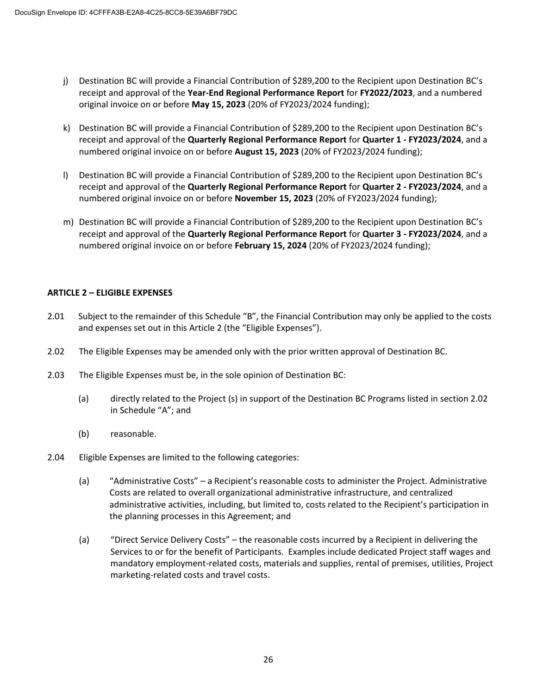- j) Destination BC will provide a Financial Contribution of \$289,200 to the Recipient upon Destination BC's receipt and approval of the **Year-End Regional Performance Report** for **FY2022/2023**, and a numbered original invoice on or before **May 15, 2023** (20% of FY2023/2024 funding);
- k) Destination BC will provide a Financial Contribution of \$289,200 to the Recipient upon Destination BC's receipt and approval of the **Quarterly Regional Performance Report** for **Quarter 1 - FY2023/2024**, and a numbered original invoice on or before **August 15, 2023** (20% of FY2023/2024 funding);
- l) Destination BC will provide a Financial Contribution of \$289,200 to the Recipient upon Destination BC's receipt and approval of the **Quarterly Regional Performance Report** for **Quarter 2 - FY2023/2024**, and a numbered original invoice on or before **November 15, 2023** (20% of FY2023/2024 funding);
- m) Destination BC will provide a Financial Contribution of \$289,200 to the Recipient upon Destination BC's receipt and approval of the **Quarterly Regional Performance Report** for **Quarter 3 - FY2023/2024**, and a numbered original invoice on or before **February 15, 2024** (20% of FY2023/2024 funding);

# **ARTICLE 2 – ELIGIBLE EXPENSES**

- 2.01 Subject to the remainder of this Schedule "B", the Financial Contribution may only be applied to the costs and expenses set out in this Article 2 (the "Eligible Expenses").
- 2.02 The Eligible Expenses may be amended only with the prior written approval of Destination BC.
- 2.03 The Eligible Expenses must be, in the sole opinion of Destination BC:
	- (a) directly related to the Project (s) in support of the Destination BC Programs listed in section 2.02 in Schedule "A"; and
	- (b) reasonable.
- 2.04 Eligible Expenses are limited to the following categories:
	- (a) "Administrative Costs" a Recipient's reasonable costs to administer the Project. Administrative Costs are related to overall organizational administrative infrastructure, and centralized administrative activities, including, but limited to, costs related to the Recipient's participation in the planning processes in this Agreement; and
	- (a) "Direct Service Delivery Costs" the reasonable costs incurred by a Recipient in delivering the Services to or for the benefit of Participants. Examples include dedicated Project staff wages and mandatory employment-related costs, materials and supplies, rental of premises, utilities, Project marketing-related costs and travel costs.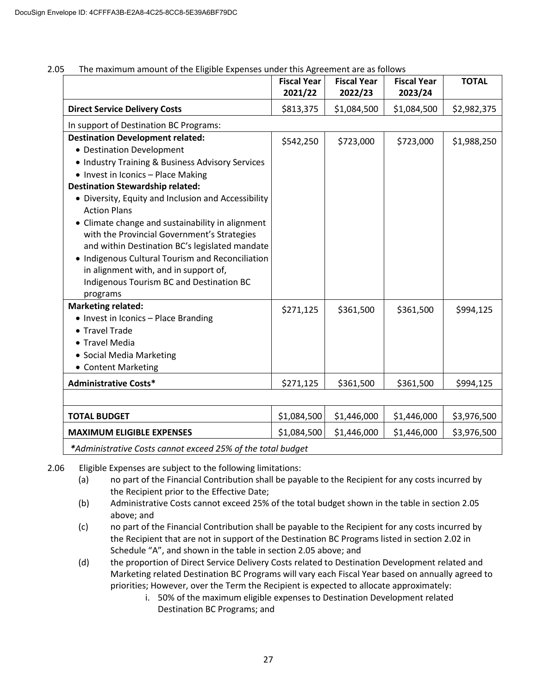|                                                                                                                                                                                                                                                                                                                                                                                                                                                                                                                                                                                                   | <b>Fiscal Year</b><br>2021/22 | <b>Fiscal Year</b><br>2022/23 | <b>Fiscal Year</b><br>2023/24 | <b>TOTAL</b> |
|---------------------------------------------------------------------------------------------------------------------------------------------------------------------------------------------------------------------------------------------------------------------------------------------------------------------------------------------------------------------------------------------------------------------------------------------------------------------------------------------------------------------------------------------------------------------------------------------------|-------------------------------|-------------------------------|-------------------------------|--------------|
| <b>Direct Service Delivery Costs</b>                                                                                                                                                                                                                                                                                                                                                                                                                                                                                                                                                              | \$813,375                     | \$1,084,500                   | \$1,084,500                   | \$2,982,375  |
| In support of Destination BC Programs:                                                                                                                                                                                                                                                                                                                                                                                                                                                                                                                                                            |                               |                               |                               |              |
| <b>Destination Development related:</b><br>• Destination Development<br>• Industry Training & Business Advisory Services<br>• Invest in Iconics - Place Making<br><b>Destination Stewardship related:</b><br>• Diversity, Equity and Inclusion and Accessibility<br><b>Action Plans</b><br>• Climate change and sustainability in alignment<br>with the Provincial Government's Strategies<br>and within Destination BC's legislated mandate<br>• Indigenous Cultural Tourism and Reconciliation<br>in alignment with, and in support of,<br>Indigenous Tourism BC and Destination BC<br>programs | \$542,250                     | \$723,000                     | \$723,000                     | \$1,988,250  |
| <b>Marketing related:</b><br>• Invest in Iconics - Place Branding<br>• Travel Trade<br>• Travel Media<br>• Social Media Marketing<br>• Content Marketing                                                                                                                                                                                                                                                                                                                                                                                                                                          | \$271,125                     | \$361,500                     | \$361,500                     | \$994,125    |
| <b>Administrative Costs*</b>                                                                                                                                                                                                                                                                                                                                                                                                                                                                                                                                                                      | \$271,125                     | \$361,500                     | \$361,500                     | \$994,125    |
|                                                                                                                                                                                                                                                                                                                                                                                                                                                                                                                                                                                                   |                               |                               |                               |              |
| <b>TOTAL BUDGET</b>                                                                                                                                                                                                                                                                                                                                                                                                                                                                                                                                                                               | \$1,084,500                   | \$1,446,000                   | \$1,446,000                   | \$3,976,500  |
| <b>MAXIMUM ELIGIBLE EXPENSES</b>                                                                                                                                                                                                                                                                                                                                                                                                                                                                                                                                                                  | \$1,084,500                   | \$1,446,000                   | \$1,446,000                   | \$3,976,500  |
| *Administrative Costs cannot exceed 25% of the total budget                                                                                                                                                                                                                                                                                                                                                                                                                                                                                                                                       |                               |                               |                               |              |

2.05 The maximum amount of the Eligible Expenses under this Agreement are as follows

2.06 Eligible Expenses are subject to the following limitations:

- (a) no part of the Financial Contribution shall be payable to the Recipient for any costs incurred by the Recipient prior to the Effective Date;
- (b) Administrative Costs cannot exceed 25% of the total budget shown in the table in section 2.05 above; and
- (c) no part of the Financial Contribution shall be payable to the Recipient for any costs incurred by the Recipient that are not in support of the Destination BC Programs listed in section 2.02 in Schedule "A", and shown in the table in section 2.05 above; and
- (d) the proportion of Direct Service Delivery Costs related to Destination Development related and Marketing related Destination BC Programs will vary each Fiscal Year based on annually agreed to priorities; However, over the Term the Recipient is expected to allocate approximately:
	- i. 50% of the maximum eligible expenses to Destination Development related Destination BC Programs; and